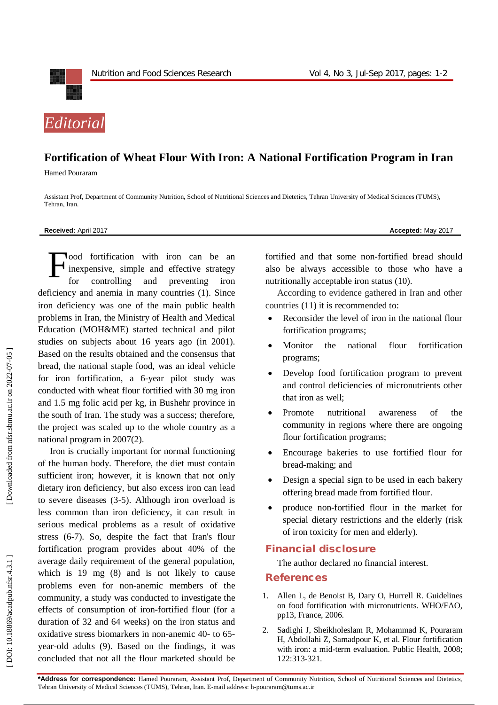

## **Fortification of Wheat Flour With Iron: A National Fortification Program in Iran**

Hamed Pouraram

Assistant Prof, Department of Community Nutrition, School of Nutritional Sciences and Dietetics, Tehran University of Medical Sciences (TUMS), Tehran, Iran .

## **Received:** April 201 7 **Accepted:** May 201 7

lood fortification with iron can be an inexpensive, simple and effective strategy for controlling and preventing iron deficiency and anemia in many countries (1). Since iron deficiency was one of the main public health problems in Iran, the Ministry of Health and Medical Education (MOH&ME) started technical and pilot studies on subjects about 16 years ago (in 2001). Based on the results obtained and the consensus that bread, the national staple food, was an ideal vehicle for iron fortification, a 6 -year pilot study was conducted with wheat flour fortified with 30 mg iron and 1.5 mg folic acid per kg, in Bushehr province in the south of Iran. The study was a success; therefore, the project was scaled up to the whole country as a national program in 2007(2). F

Iron is crucially important for normal functioning of the human body. Therefore, the diet must contain sufficient iron; however, it is known that not only dietary iron deficiency, but also excess iron can lead to severe diseases (3 -5). Although iron overload is less common than iron deficiency, it can result in serious medical problems as a result of oxidative stress (6 -7). So, despite the fact that Iran's flour fortification program provides about 40% of the average daily requirement of the general population, which is 19 mg (8) and is not likely to cause problems even for non -anemic members of the community, a study was conducted to investigate the effects of consumption of iron -fortified flour (for a duration of 32 and 64 weeks) on the iron status and oxidative stress biomarkers in non-anemic 40- to 65year -old adults (9). Based on the findings, it was concluded that not all the flour marketed should be

fortified and that some non -fortified bread should also be always accessible to those who have a nutritionally acceptable iron status (10).

According to evidence gathered in Iran and other countries (11) it is recommended to:

- Reconsider the level of iron in the national flour fortification programs;
- Monitor the national flour fortification programs;
- Develop food fortification program to prevent and control deficiencies of micronutrients other that iron as well;
- Promote nutritional awareness of the community in regions where there are ongoing flour fortification programs;
- Encourage bakeries to use fortified flour for bread -making; and
- Design a special sign to be used in each bakery offering bread made from fortified flour.
- produce non-fortified flour in the market for special dietary restrictions and the elderly (risk of iron toxicity for men and elderly).

## **Financial disclosure**

The author declared no financial interest.

## **References**

- 1 . Allen L, de Benoist B, Dary O, Hurrell R. Guidelines on food fortification with micronutrients. WHO/FAO, pp13, France, 2006.
- 2. . Sadighi J, Sheikholeslam R, Mohammad K, Pouraram H, Abdollahi Z, Samadpour K, et al. Flour fortification with iron: a mid -term evaluation. Public Health, 2008; 122:313 -321.